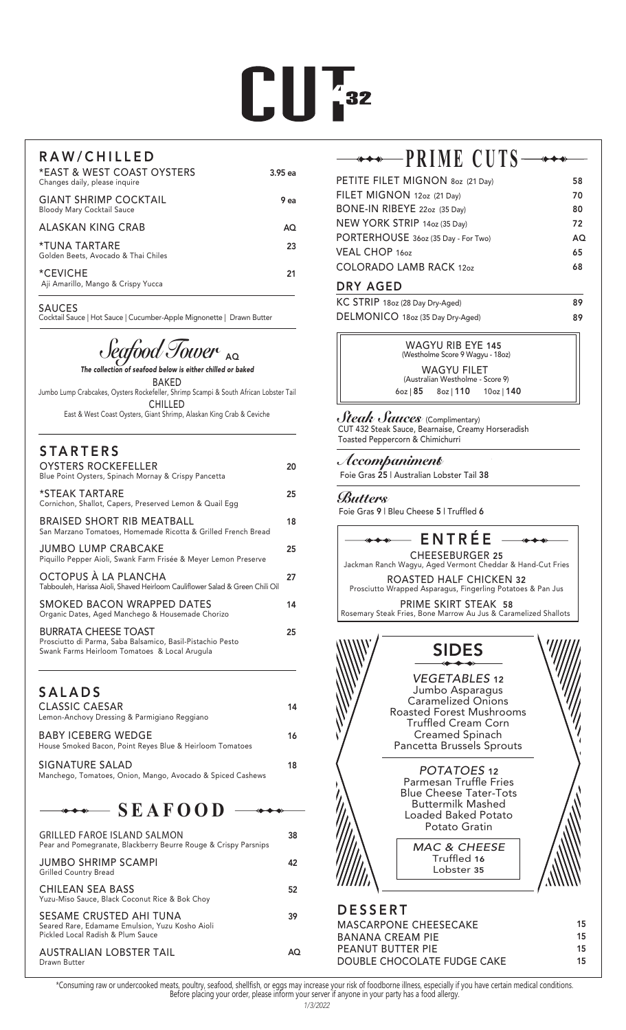# $\prod_{i=1}^{n} \prod_{i=1}^{n} x_i$

#### RAW/CHILLED

| *EAST & WEST COAST OYSTERS<br>Changes daily, please inquire       | $3.95$ ea |
|-------------------------------------------------------------------|-----------|
| <b>GIANT SHRIMP COCKTAIL</b><br><b>Bloody Mary Cocktail Sauce</b> | 9 ea      |
| ALASKAN KING CRAB                                                 | AΟ        |
| *TUNA TARTARE<br>Golden Beets, Avocado & Thai Chiles              | 23        |
| *CEVICHE<br>Aji Amarillo, Mango & Crispy Yucca                    | 21        |

#### SAUCES

Cocktail Sauce | Hot Sauce | Cucumber-Apple Mignonette | Drawn Butter

# J*eafood Tower* <sub>AQ</sub>

| The collection of seafood below is either chilled or baked                            |
|---------------------------------------------------------------------------------------|
| <b>BAKFD</b>                                                                          |
| Jumbo Lump Crabcakes, Oysters Rockefeller, Shrimp Scampi & South African Lobster Tail |
| <b>CHILLED</b>                                                                        |
| East & West Coast Oysters, Giant Shrimp, Alaskan King Crab & Ceviche                  |

| <b>STARTERS</b>                                                                                                                            |
|--------------------------------------------------------------------------------------------------------------------------------------------|
| <b>OYSTERS ROCKEFELLER</b><br>Blue Point Oysters, Spinach Mornay & Crispy Pancetta                                                         |
| *STEAK TARTARE<br>Cornichon, Shallot, Capers, Preserved Lemon & Quail Egg                                                                  |
| BRAISED SHORT RIB MEATBALL<br>San Marzano Tomatoes, Homemade Ricotta & Grilled French Bread                                                |
| JUMBO LUMP CRABCAKE<br>Piquillo Pepper Aioli, Swank Farm Frisée & Meyer Lemon Preserve                                                     |
| OCTOPUS À LA PLANCHA<br>Tabbouleh, Harissa Aioli, Shaved Heirloom Cauliflower Salad & Green Chili Oil                                      |
| SMOKED BACON WRAPPED DATES<br>Organic Dates, Aged Manchego & Housemade Chorizo                                                             |
| <b>BURRATA CHEESE TOAST</b><br>Prosciutto di Parma, Saba Balsamico, Basil-Pistachio Pesto<br>Swank Farms Heirloom Tomatoes & Local Arugula |

#### SALADS

| CLASSIC CAESAR<br>Lemon-Anchovy Dressing & Parmigiano Reggiano                 | 14 |
|--------------------------------------------------------------------------------|----|
| BABY ICEBERG WEDGE<br>House Smoked Bacon, Point Reves Blue & Heirloom Tomatoes | 16 |
| SIGNATURE SALAD<br>Manchego, Tomatoes, Onion, Mango, Avocado & Spiced Cashews  | 18 |

### **SEAFOOD**

| <b>GRILLED FAROE ISLAND SALMON</b><br>Pear and Pomegranate, Blackberry Beurre Rouge & Crispy Parsnips           | 38 |
|-----------------------------------------------------------------------------------------------------------------|----|
| JUMBO SHRIMP SCAMPI<br><b>Grilled Country Bread</b>                                                             | 42 |
| CHILEAN SEA BASS<br>Yuzu-Miso Sauce, Black Coconut Rice & Bok Choy                                              | 52 |
| SESAME CRUSTED AHI TUNA<br>Seared Rare, Edamame Emulsion, Yuzu Kosho Aioli<br>Pickled Local Radish & Plum Sauce | 39 |
| <b>AUSTRALIAN LOBSTER TAIL</b><br>Drawn Butter                                                                  |    |

# **PRIME CUTS**

| PETITE FILET MIGNON 80z (21 Day)    | 58  |
|-------------------------------------|-----|
| FILET MIGNON 12oz (21 Day)          | 70  |
| BONE-IN RIBEYE 22oz (35 Day)        | 80  |
| NEW YORK STRIP 14oz (35 Day)        | 72  |
| PORTERHOUSE 36oz (35 Day - For Two) | AQ. |
| VEAL CHOP 160Z                      | 65  |
| <b>COLORADO LAMB RACK 12oz</b>      | 68  |
|                                     |     |

#### DRY AGED

| KC STRIP 18oz (28 Day Dry-Aged)  | 89 |
|----------------------------------|----|
| DELMONICO 18oz (35 Day Dry-Aged) | 89 |

WAGYU RIB EYE 145 (Westholme Score 9 Wagyu - 18oz) WAGYU FILET (Australian Westholme - Score 9) 6oz | 85 8oz | 110 10oz | 140

#### *Steak Sauces* (Complimentary) CUT 432 Steak Sauce, Bearnaise, Creamy Horseradish

Toasted Peppercorn & Chimichurri

#### *Accompaniment*s

Foie Gras 25 | Australian Lobster Tail 38

#### *Butters*

20

25

18

25

27

14

25



\*Consuming raw or undercooked meats, poultry, seafood, shellfish, or eggs may increase your risk of foodborne illness, especially if you have certain medical conditions.<br>Before placing your order, please inform your server

PEANUT BUTTER PIE

DOUBLE CHOCOLATE FUDGE CAKE

15 15